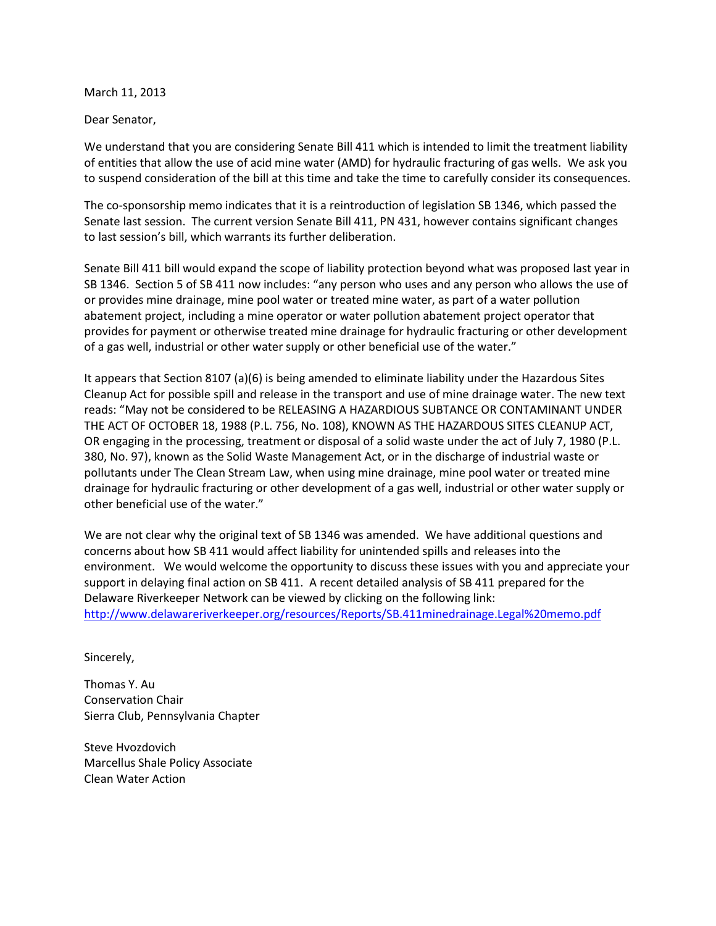March 11, 2013

Dear Senator,

We understand that you are considering Senate Bill 411 which is intended to limit the treatment liability of entities that allow the use of acid mine water (AMD) for hydraulic fracturing of gas wells. We ask you to suspend consideration of the bill at this time and take the time to carefully consider its consequences.

The co-sponsorship memo indicates that it is a reintroduction of legislation SB 1346, which passed the Senate last session. The current version Senate Bill 411, PN 431, however contains significant changes to last session's bill, which warrants its further deliberation.

Senate Bill 411 bill would expand the scope of liability protection beyond what was proposed last year in SB 1346. Section 5 of SB 411 now includes: "any person who uses and any person who allows the use of or provides mine drainage, mine pool water or treated mine water, as part of a water pollution abatement project, including a mine operator or water pollution abatement project operator that provides for payment or otherwise treated mine drainage for hydraulic fracturing or other development of a gas well, industrial or other water supply or other beneficial use of the water."

It appears that Section 8107 (a)(6) is being amended to eliminate liability under the Hazardous Sites Cleanup Act for possible spill and release in the transport and use of mine drainage water. The new text reads: "May not be considered to be RELEASING A HAZARDIOUS SUBTANCE OR CONTAMINANT UNDER THE ACT OF OCTOBER 18, 1988 (P.L. 756, No. 108), KNOWN AS THE HAZARDOUS SITES CLEANUP ACT, OR engaging in the processing, treatment or disposal of a solid waste under the act of July 7, 1980 (P.L. 380, No. 97), known as the Solid Waste Management Act, or in the discharge of industrial waste or pollutants under The Clean Stream Law, when using mine drainage, mine pool water or treated mine drainage for hydraulic fracturing or other development of a gas well, industrial or other water supply or other beneficial use of the water."

We are not clear why the original text of SB 1346 was amended. We have additional questions and concerns about how SB 411 would affect liability for unintended spills and releases into the environment. We would welcome the opportunity to discuss these issues with you and appreciate your support in delaying final action on SB 411. A recent detailed analysis of SB 411 prepared for the Delaware Riverkeeper Network can be viewed by clicking on the following link: <http://www.delawareriverkeeper.org/resources/Reports/SB.411minedrainage.Legal%20memo.pdf>

Sincerely,

Thomas Y. Au Conservation Chair Sierra Club, Pennsylvania Chapter

Steve Hvozdovich Marcellus Shale Policy Associate Clean Water Action